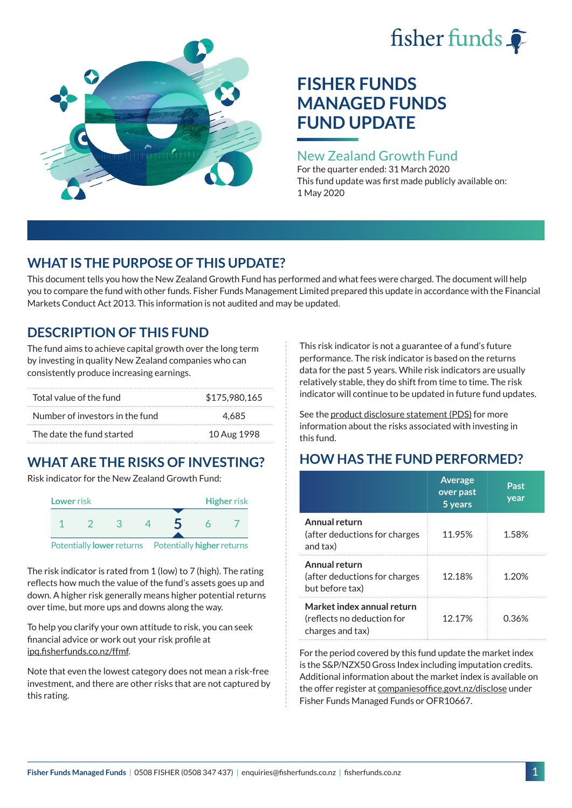# fisher funds  $\hat{\bullet}$



## **FISHER FUNDS MANAGED FUNDS FUND UPDATE**

## New Zealand Growth Fund

For the quarter ended: 31 March 2020 This fund update was first made publicly available on: 1 May 2020

## **WHAT IS THE PURPOSE OF THIS UPDATE?**

This document tells you how the New Zealand Growth Fund has performed and what fees were charged. The document will help you to compare the fund with other funds. Fisher Funds Management Limited prepared this update in accordance with the Financial Markets Conduct Act 2013. This information is not audited and may be updated.

## **DESCRIPTION OF THIS FUND**

The fund aims to achieve capital growth over the long term by investing in quality New Zealand companies who can consistently produce increasing earnings.

| Total value of the fund         | \$175,980,165 |
|---------------------------------|---------------|
| Number of investors in the fund | 4.685         |
| The date the fund started       | 10 Aug 1998   |

## **WHAT ARE THE RISKS OF INVESTING?**

Risk indicator for the New Zealand Growth Fund:



The risk indicator is rated from 1 (low) to 7 (high). The rating reflects how much the value of the fund's assets goes up and down. A higher risk generally means higher potential returns over time, but more ups and downs along the way.

To help you clarify your own attitude to risk, you can seek financial advice or work out your risk profile at [ipq.fisherfunds.co.nz/ffmf](https://ipq.fisherfunds.co.nz/ffmf).

Note that even the lowest category does not mean a risk-free investment, and there are other risks that are not captured by this rating.

This risk indicator is not a guarantee of a fund's future performance. The risk indicator is based on the returns data for the past 5 years. While risk indicators are usually relatively stable, they do shift from time to time. The risk indicator will continue to be updated in future fund updates.

See the [product disclosure statement \(PDS\)](https://fisherfunds.co.nz/assets/PDS/Fisher-Funds-Managed-Funds-PDS.pdf) for more information about the risks associated with investing in this fund.

## **HOW HAS THE FUND PERFORMED?**

|                                                                              | <b>Average</b><br>over past<br>5 years | Past<br>year |
|------------------------------------------------------------------------------|----------------------------------------|--------------|
| Annual return<br>(after deductions for charges<br>and tax)                   | 11.95%                                 | 1.58%        |
| Annual return<br>(after deductions for charges<br>but before tax)            | 12.18%                                 | 1.20%        |
| Market index annual return<br>(reflects no deduction for<br>charges and tax) | 12.17%                                 | 0.36%        |

For the period covered by this fund update the market index is the S&P/NZX50 Gross Index including imputation credits. Additional information about the market index is available on the offer register at [companiesoffice.govt.nz/disclose](http://companiesoffice.govt.nz/disclose) under Fisher Funds Managed Funds or OFR10667.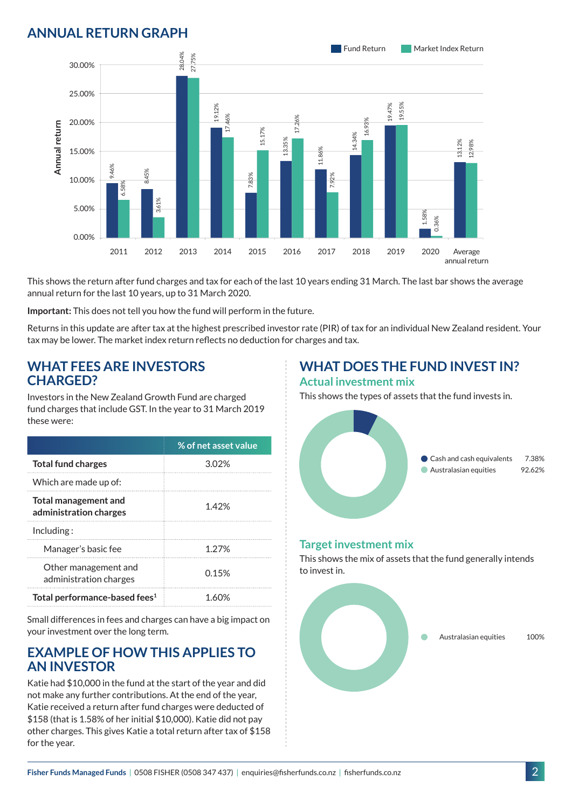## **ANNUAL RETURN GRAPH**



This shows the return after fund charges and tax for each of the last 10 years ending 31 March. The last bar shows the average annual return for the last 10 years, up to 31 March 2020.

**Important:** This does not tell you how the fund will perform in the future.

Returns in this update are after tax at the highest prescribed investor rate (PIR) of tax for an individual New Zealand resident. Your tax may be lower. The market index return reflects no deduction for charges and tax.

#### **WHAT FEES ARE INVESTORS CHARGED?**

Investors in the New Zealand Growth Fund are charged fund charges that include GST. In the year to 31 March 2019 these were:

|                                                | % of net asset value |
|------------------------------------------------|----------------------|
| <b>Total fund charges</b>                      | 3.02%                |
| Which are made up of:                          |                      |
| Total management and<br>administration charges | 1.42%                |
| Inding:                                        |                      |
| Manager's basic fee                            | 1.27%                |
| Other management and<br>administration charges | 0.15%                |
| Total performance-based fees <sup>1</sup>      |                      |

Small differences in fees and charges can have a big impact on your investment over the long term.

#### **EXAMPLE OF HOW THIS APPLIES TO AN INVESTOR**

Katie had \$10,000 in the fund at the start of the year and did not make any further contributions. At the end of the year, Katie received a return after fund charges were deducted of \$158 (that is 1.58% of her initial \$10,000). Katie did not pay other charges. This gives Katie a total return after tax of \$158 for the year.

#### **WHAT DOES THE FUND INVEST IN? Actual investment mix**

This shows the types of assets that the fund invests in.



#### **Target investment mix**

This shows the mix of assets that the fund generally intends to invest in.